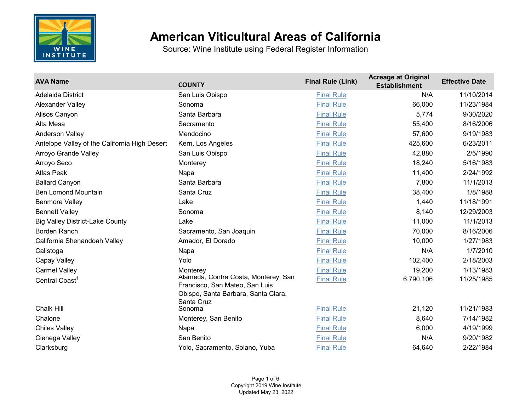

| <b>AVA Name</b>                               | <b>COUNTY</b>                                                                                                               | <b>Final Rule (Link)</b> | <b>Acreage at Original</b><br><b>Establishment</b> | <b>Effective Date</b> |
|-----------------------------------------------|-----------------------------------------------------------------------------------------------------------------------------|--------------------------|----------------------------------------------------|-----------------------|
| <b>Adelaida District</b>                      | San Luis Obispo                                                                                                             | <b>Final Rule</b>        | N/A                                                | 11/10/2014            |
| <b>Alexander Valley</b>                       | Sonoma                                                                                                                      | <b>Final Rule</b>        | 66,000                                             | 11/23/1984            |
| Alisos Canyon                                 | Santa Barbara                                                                                                               | <b>Final Rule</b>        | 5,774                                              | 9/30/2020             |
| Alta Mesa                                     | Sacramento                                                                                                                  | <b>Final Rule</b>        | 55,400                                             | 8/16/2006             |
| Anderson Valley                               | Mendocino                                                                                                                   | <b>Final Rule</b>        | 57,600                                             | 9/19/1983             |
| Antelope Valley of the California High Desert | Kern, Los Angeles                                                                                                           | <b>Final Rule</b>        | 425,600                                            | 6/23/2011             |
| Arroyo Grande Valley                          | San Luis Obispo                                                                                                             | <b>Final Rule</b>        | 42,880                                             | 2/5/1990              |
| Arroyo Seco                                   | Monterey                                                                                                                    | <b>Final Rule</b>        | 18,240                                             | 5/16/1983             |
| <b>Atlas Peak</b>                             | Napa                                                                                                                        | <b>Final Rule</b>        | 11,400                                             | 2/24/1992             |
| <b>Ballard Canyon</b>                         | Santa Barbara                                                                                                               | <b>Final Rule</b>        | 7,800                                              | 11/1/2013             |
| <b>Ben Lomond Mountain</b>                    | Santa Cruz                                                                                                                  | <b>Final Rule</b>        | 38,400                                             | 1/8/1988              |
| <b>Benmore Valley</b>                         | Lake                                                                                                                        | <b>Final Rule</b>        | 1,440                                              | 11/18/1991            |
| <b>Bennett Valley</b>                         | Sonoma                                                                                                                      | <b>Final Rule</b>        | 8,140                                              | 12/29/2003            |
| <b>Big Valley District-Lake County</b>        | Lake                                                                                                                        | <b>Final Rule</b>        | 11,000                                             | 11/1/2013             |
| <b>Borden Ranch</b>                           | Sacramento, San Joaquin                                                                                                     | <b>Final Rule</b>        | 70,000                                             | 8/16/2006             |
| California Shenandoah Valley                  | Amador, El Dorado                                                                                                           | <b>Final Rule</b>        | 10,000                                             | 1/27/1983             |
| Calistoga                                     | Napa                                                                                                                        | <b>Final Rule</b>        | N/A                                                | 1/7/2010              |
| Capay Valley                                  | Yolo                                                                                                                        | <b>Final Rule</b>        | 102,400                                            | 2/18/2003             |
| <b>Carmel Valley</b>                          | Monterev                                                                                                                    | <b>Final Rule</b>        | 19,200                                             | 1/13/1983             |
| Central Coast <sup>1</sup>                    | Alameda, Contra Costa, Monterey, San<br>Francisco, San Mateo, San Luis<br>Obispo, Santa Barbara, Santa Clara,<br>Santa Cruz | <b>Final Rule</b>        | 6,790,106                                          | 11/25/1985            |
| <b>Chalk Hill</b>                             | Sonoma                                                                                                                      | <b>Final Rule</b>        | 21,120                                             | 11/21/1983            |
| Chalone                                       | Monterey, San Benito                                                                                                        | <b>Final Rule</b>        | 8,640                                              | 7/14/1982             |
| <b>Chiles Valley</b>                          | Napa                                                                                                                        | <b>Final Rule</b>        | 6,000                                              | 4/19/1999             |
| Cienega Valley                                | San Benito                                                                                                                  | <b>Final Rule</b>        | N/A                                                | 9/20/1982             |
| Clarksburg                                    | Yolo, Sacramento, Solano, Yuba                                                                                              | <b>Final Rule</b>        | 64,640                                             | 2/22/1984             |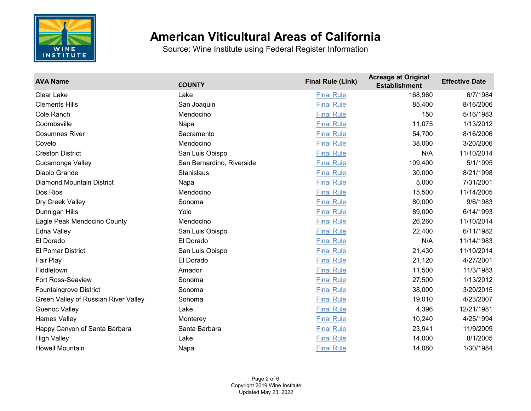

| <b>AVA Name</b>                      | <b>COUNTY</b>             | <b>Final Rule (Link)</b> | <b>Acreage at Original</b><br><b>Establishment</b> | <b>Effective Date</b> |
|--------------------------------------|---------------------------|--------------------------|----------------------------------------------------|-----------------------|
| <b>Clear Lake</b>                    | Lake                      | <b>Final Rule</b>        | 168,960                                            | 6/7/1984              |
| <b>Clements Hills</b>                | San Joaquin               | <b>Final Rule</b>        | 85,400                                             | 8/16/2006             |
| Cole Ranch                           | Mendocino                 | <b>Final Rule</b>        | 150                                                | 5/16/1983             |
| Coombsville                          | Napa                      | <b>Final Rule</b>        | 11,075                                             | 1/13/2012             |
| <b>Cosumnes River</b>                | Sacramento                | <b>Final Rule</b>        | 54,700                                             | 8/16/2006             |
| Covelo                               | Mendocino                 | <b>Final Rule</b>        | 38,000                                             | 3/20/2006             |
| <b>Creston District</b>              | San Luis Obispo           | <b>Final Rule</b>        | N/A                                                | 11/10/2014            |
| Cucamonga Valley                     | San Bernardino, Riverside | <b>Final Rule</b>        | 109,400                                            | 5/1/1995              |
| Diablo Grande                        | Stanislaus                | <b>Final Rule</b>        | 30,000                                             | 8/21/1998             |
| <b>Diamond Mountain District</b>     | Napa                      | <b>Final Rule</b>        | 5,000                                              | 7/31/2001             |
| Dos Rios                             | Mendocino                 | <b>Final Rule</b>        | 15,500                                             | 11/14/2005            |
| Dry Creek Valley                     | Sonoma                    | <b>Final Rule</b>        | 80,000                                             | 9/6/1983              |
| Dunnigan Hills                       | Yolo                      | <b>Final Rule</b>        | 89,000                                             | 6/14/1993             |
| Eagle Peak Mendocino County          | Mendocino                 | <b>Final Rule</b>        | 26,260                                             | 11/10/2014            |
| Edna Valley                          | San Luis Obispo           | <b>Final Rule</b>        | 22,400                                             | 6/11/1982             |
| El Dorado                            | El Dorado                 | <b>Final Rule</b>        | N/A                                                | 11/14/1983            |
| El Pomar District                    | San Luis Obispo           | <b>Final Rule</b>        | 21,430                                             | 11/10/2014            |
| Fair Play                            | El Dorado                 | <b>Final Rule</b>        | 21,120                                             | 4/27/2001             |
| Fiddletown                           | Amador                    | <b>Final Rule</b>        | 11,500                                             | 11/3/1983             |
| Fort Ross-Seaview                    | Sonoma                    | <b>Final Rule</b>        | 27,500                                             | 1/13/2012             |
| <b>Fountaingrove District</b>        | Sonoma                    | <b>Final Rule</b>        | 38,000                                             | 3/20/2015             |
| Green Valley of Russian River Valley | Sonoma                    | <b>Final Rule</b>        | 19,010                                             | 4/23/2007             |
| <b>Guenoc Valley</b>                 | Lake                      | <b>Final Rule</b>        | 4,396                                              | 12/21/1981            |
| <b>Hames Valley</b>                  | Monterey                  | <b>Final Rule</b>        | 10,240                                             | 4/25/1994             |
| Happy Canyon of Santa Barbara        | Santa Barbara             | <b>Final Rule</b>        | 23,941                                             | 11/9/2009             |
| <b>High Valley</b>                   | Lake                      | <b>Final Rule</b>        | 14,000                                             | 8/1/2005              |
| <b>Howell Mountain</b>               | Napa                      | <b>Final Rule</b>        | 14,080                                             | 1/30/1984             |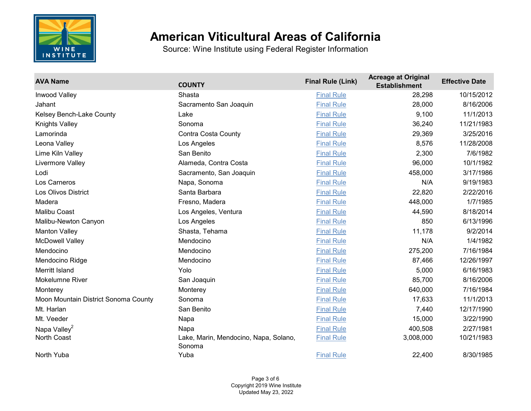

| <b>AVA Name</b>                      | <b>COUNTY</b>                                   | <b>Final Rule (Link)</b> | <b>Acreage at Original</b><br><b>Establishment</b> | <b>Effective Date</b> |
|--------------------------------------|-------------------------------------------------|--------------------------|----------------------------------------------------|-----------------------|
| Inwood Valley                        | Shasta                                          | <b>Final Rule</b>        | 28,298                                             | 10/15/2012            |
| Jahant                               | Sacramento San Joaquin                          | <b>Final Rule</b>        | 28,000                                             | 8/16/2006             |
| Kelsey Bench-Lake County             | Lake                                            | <b>Final Rule</b>        | 9,100                                              | 11/1/2013             |
| Knights Valley                       | Sonoma                                          | <b>Final Rule</b>        | 36,240                                             | 11/21/1983            |
| Lamorinda                            | <b>Contra Costa County</b>                      | <b>Final Rule</b>        | 29,369                                             | 3/25/2016             |
| Leona Valley                         | Los Angeles                                     | <b>Final Rule</b>        | 8,576                                              | 11/28/2008            |
| Lime Kiln Valley                     | San Benito                                      | <b>Final Rule</b>        | 2,300                                              | 7/6/1982              |
| Livermore Valley                     | Alameda, Contra Costa                           | <b>Final Rule</b>        | 96,000                                             | 10/1/1982             |
| Lodi                                 | Sacramento, San Joaquin                         | <b>Final Rule</b>        | 458,000                                            | 3/17/1986             |
| Los Carneros                         | Napa, Sonoma                                    | <b>Final Rule</b>        | N/A                                                | 9/19/1983             |
| <b>Los Olivos District</b>           | Santa Barbara                                   | <b>Final Rule</b>        | 22,820                                             | 2/22/2016             |
| Madera                               | Fresno, Madera                                  | <b>Final Rule</b>        | 448,000                                            | 1/7/1985              |
| <b>Malibu Coast</b>                  | Los Angeles, Ventura                            | <b>Final Rule</b>        | 44,590                                             | 8/18/2014             |
| Malibu-Newton Canyon                 | Los Angeles                                     | <b>Final Rule</b>        | 850                                                | 6/13/1996             |
| <b>Manton Valley</b>                 | Shasta, Tehama                                  | <b>Final Rule</b>        | 11,178                                             | 9/2/2014              |
| <b>McDowell Valley</b>               | Mendocino                                       | <b>Final Rule</b>        | N/A                                                | 1/4/1982              |
| Mendocino                            | Mendocino                                       | <b>Final Rule</b>        | 275,200                                            | 7/16/1984             |
| Mendocino Ridge                      | Mendocino                                       | <b>Final Rule</b>        | 87,466                                             | 12/26/1997            |
| Merritt Island                       | Yolo                                            | <b>Final Rule</b>        | 5,000                                              | 6/16/1983             |
| <b>Mokelumne River</b>               | San Joaquin                                     | <b>Final Rule</b>        | 85,700                                             | 8/16/2006             |
| Monterey                             | Monterey                                        | <b>Final Rule</b>        | 640,000                                            | 7/16/1984             |
| Moon Mountain District Sonoma County | Sonoma                                          | <b>Final Rule</b>        | 17,633                                             | 11/1/2013             |
| Mt. Harlan                           | San Benito                                      | <b>Final Rule</b>        | 7,440                                              | 12/17/1990            |
| Mt. Veeder                           | Napa                                            | <b>Final Rule</b>        | 15,000                                             | 3/22/1990             |
| Napa Valley <sup>2</sup>             | Napa                                            | <b>Final Rule</b>        | 400,508                                            | 2/27/1981             |
| North Coast                          | Lake, Marin, Mendocino, Napa, Solano,<br>Sonoma | <b>Final Rule</b>        | 3,008,000                                          | 10/21/1983            |
| North Yuba                           | Yuba                                            | <b>Final Rule</b>        | 22,400                                             | 8/30/1985             |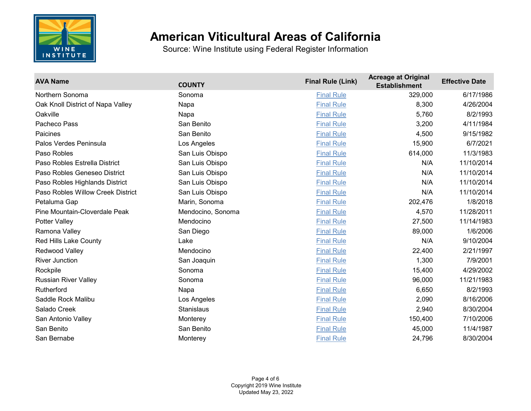

| <b>AVA Name</b>                   | <b>COUNTY</b>     | <b>Final Rule (Link)</b> | <b>Acreage at Original</b><br><b>Establishment</b> | <b>Effective Date</b> |
|-----------------------------------|-------------------|--------------------------|----------------------------------------------------|-----------------------|
| Northern Sonoma                   | Sonoma            | <b>Final Rule</b>        | 329,000                                            | 6/17/1986             |
| Oak Knoll District of Napa Valley | Napa              | <b>Final Rule</b>        | 8,300                                              | 4/26/2004             |
| Oakville                          | Napa              | <b>Final Rule</b>        | 5,760                                              | 8/2/1993              |
| Pacheco Pass                      | San Benito        | <b>Final Rule</b>        | 3,200                                              | 4/11/1984             |
| Paicines                          | San Benito        | <b>Final Rule</b>        | 4,500                                              | 9/15/1982             |
| Palos Verdes Peninsula            | Los Angeles       | <b>Final Rule</b>        | 15,900                                             | 6/7/2021              |
| Paso Robles                       | San Luis Obispo   | <b>Final Rule</b>        | 614,000                                            | 11/3/1983             |
| Paso Robles Estrella District     | San Luis Obispo   | <b>Final Rule</b>        | N/A                                                | 11/10/2014            |
| Paso Robles Geneseo District      | San Luis Obispo   | <b>Final Rule</b>        | N/A                                                | 11/10/2014            |
| Paso Robles Highlands District    | San Luis Obispo   | <b>Final Rule</b>        | N/A                                                | 11/10/2014            |
| Paso Robles Willow Creek District | San Luis Obispo   | <b>Final Rule</b>        | N/A                                                | 11/10/2014            |
| Petaluma Gap                      | Marin, Sonoma     | <b>Final Rule</b>        | 202,476                                            | 1/8/2018              |
| Pine Mountain-Cloverdale Peak     | Mendocino, Sonoma | <b>Final Rule</b>        | 4,570                                              | 11/28/2011            |
| Potter Valley                     | Mendocino         | <b>Final Rule</b>        | 27,500                                             | 11/14/1983            |
| Ramona Valley                     | San Diego         | <b>Final Rule</b>        | 89,000                                             | 1/6/2006              |
| <b>Red Hills Lake County</b>      | Lake              | <b>Final Rule</b>        | N/A                                                | 9/10/2004             |
| Redwood Valley                    | Mendocino         | <b>Final Rule</b>        | 22,400                                             | 2/21/1997             |
| <b>River Junction</b>             | San Joaquin       | <b>Final Rule</b>        | 1,300                                              | 7/9/2001              |
| Rockpile                          | Sonoma            | <b>Final Rule</b>        | 15,400                                             | 4/29/2002             |
| <b>Russian River Valley</b>       | Sonoma            | <b>Final Rule</b>        | 96,000                                             | 11/21/1983            |
| Rutherford                        | Napa              | <b>Final Rule</b>        | 6,650                                              | 8/2/1993              |
| Saddle Rock Malibu                | Los Angeles       | <b>Final Rule</b>        | 2,090                                              | 8/16/2006             |
| Salado Creek                      | <b>Stanislaus</b> | <b>Final Rule</b>        | 2,940                                              | 8/30/2004             |
| San Antonio Valley                | Monterey          | <b>Final Rule</b>        | 150,400                                            | 7/10/2006             |
| San Benito                        | San Benito        | <b>Final Rule</b>        | 45,000                                             | 11/4/1987             |
| San Bernabe                       | Monterey          | <b>Final Rule</b>        | 24,796                                             | 8/30/2004             |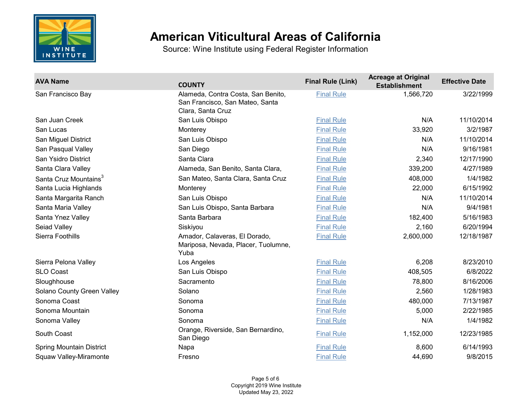

| <b>AVA Name</b>                   | <b>COUNTY</b>                                                                              | <b>Final Rule (Link)</b> | <b>Acreage at Original</b><br><b>Establishment</b> | <b>Effective Date</b> |
|-----------------------------------|--------------------------------------------------------------------------------------------|--------------------------|----------------------------------------------------|-----------------------|
| San Francisco Bay                 | Alameda, Contra Costa, San Benito,<br>San Francisco, San Mateo, Santa<br>Clara, Santa Cruz | <b>Final Rule</b>        | 1,566,720                                          | 3/22/1999             |
| San Juan Creek                    | San Luis Obispo                                                                            | <b>Final Rule</b>        | N/A                                                | 11/10/2014            |
| San Lucas                         | Monterey                                                                                   | <b>Final Rule</b>        | 33,920                                             | 3/2/1987              |
| San Miguel District               | San Luis Obispo                                                                            | <b>Final Rule</b>        | N/A                                                | 11/10/2014            |
| San Pasqual Valley                | San Diego                                                                                  | <b>Final Rule</b>        | N/A                                                | 9/16/1981             |
| San Ysidro District               | Santa Clara                                                                                | <b>Final Rule</b>        | 2,340                                              | 12/17/1990            |
| Santa Clara Valley                | Alameda, San Benito, Santa Clara,                                                          | <b>Final Rule</b>        | 339,200                                            | 4/27/1989             |
| Santa Cruz Mountains <sup>3</sup> | San Mateo, Santa Clara, Santa Cruz                                                         | <b>Final Rule</b>        | 408,000                                            | 1/4/1982              |
| Santa Lucia Highlands             | Monterey                                                                                   | <b>Final Rule</b>        | 22,000                                             | 6/15/1992             |
| Santa Margarita Ranch             | San Luis Obispo                                                                            | <b>Final Rule</b>        | N/A                                                | 11/10/2014            |
| Santa Maria Valley                | San Luis Obispo, Santa Barbara                                                             | <b>Final Rule</b>        | N/A                                                | 9/4/1981              |
| Santa Ynez Valley                 | Santa Barbara                                                                              | <b>Final Rule</b>        | 182,400                                            | 5/16/1983             |
| Seiad Valley                      | Siskiyou                                                                                   | <b>Final Rule</b>        | 2,160                                              | 6/20/1994             |
| Sierra Foothills                  | Amador, Calaveras, El Dorado,<br>Mariposa, Nevada, Placer, Tuolumne,<br>Yuba               | <b>Final Rule</b>        | 2,600,000                                          | 12/18/1987            |
| Sierra Pelona Valley              | Los Angeles                                                                                | <b>Final Rule</b>        | 6,208                                              | 8/23/2010             |
| <b>SLO Coast</b>                  | San Luis Obispo                                                                            | <b>Final Rule</b>        | 408,505                                            | 6/8/2022              |
| Sloughhouse                       | Sacramento                                                                                 | <b>Final Rule</b>        | 78,800                                             | 8/16/2006             |
| Solano County Green Valley        | Solano                                                                                     | <b>Final Rule</b>        | 2,560                                              | 1/28/1983             |
| Sonoma Coast                      | Sonoma                                                                                     | <b>Final Rule</b>        | 480,000                                            | 7/13/1987             |
| Sonoma Mountain                   | Sonoma                                                                                     | <b>Final Rule</b>        | 5,000                                              | 2/22/1985             |
| Sonoma Valley                     | Sonoma                                                                                     | <b>Final Rule</b>        | N/A                                                | 1/4/1982              |
| South Coast                       | Orange, Riverside, San Bernardino,<br>San Diego                                            | <b>Final Rule</b>        | 1,152,000                                          | 12/23/1985            |
| <b>Spring Mountain District</b>   | Napa                                                                                       | <b>Final Rule</b>        | 8,600                                              | 6/14/1993             |
| Squaw Valley-Miramonte            | Fresno                                                                                     | <b>Final Rule</b>        | 44,690                                             | 9/8/2015              |